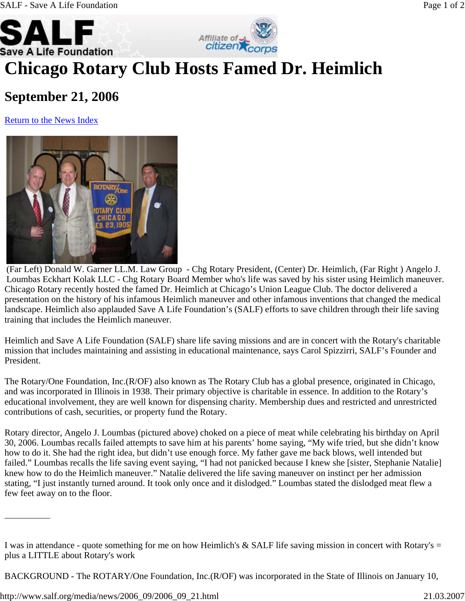



## **Chicago Rotary Club Hosts Famed Dr. Heimlich**

## **September 21, 2006**

Return to the News Index



Chicago Rotary recently hosted the famed Dr. Heimlich at Chicago's Union League Club. The doctor delivered a presentation on the history of his infamous Heimlich maneuver and other infamous inventions that changed the medical landscape. Heimlich also applauded Save A Life Foundation's (SALF) efforts to save children through their life saving training that includes the Heimlich maneuver. (Far Left) Donald W. Garner LL.M. Law Group - Chg Rotary President, (Center) Dr. Heimlich, (Far Right ) Angelo J. Loumbas Eckhart Kolak LLC - Chg Rotary Board Member who's life was saved by his sister using Heimlich maneuver.

Heimlich and Save A Life Foundation (SALF) share life saving missions and are in concert with the Rotary's charitable mission that includes maintaining and assisting in educational maintenance, says Carol Spizzirri, SALF's Founder and President.

The Rotary/One Foundation, Inc.(R/OF) also known as The Rotary Club has a global presence, originated in Chicago, and was incorporated in Illinois in 1938. Their primary objective is charitable in essence. In addition to the Rotary's educational involvement, they are well known for dispensing charity. Membership dues and restricted and unrestricted contributions of cash, securities, or property fund the Rotary.

Rotary director, Angelo J. Loumbas (pictured above) choked on a piece of meat while celebrating his birthday on April 30, 2006. Loumbas recalls failed attempts to save him at his parents' home saying, "My wife tried, but she didn't know how to do it. She had the right idea, but didn't use enough force. My father gave me back blows, well intended but failed." Loumbas recalls the life saving event saying, "I had not panicked because I knew she [sister, Stephanie Natalie] knew how to do the Heimlich maneuver." Natalie delivered the life saving maneuver on instinct per her admission stating, "I just instantly turned around. It took only once and it dislodged." Loumbas stated the dislodged meat flew a few feet away on to the floor.

BACKGROUND - The ROTARY/One Foundation, Inc.(R/OF) was incorporated in the State of Illinois on January 10,

I was in attendance - quote something for me on how Heimlich's  $&$  SALF life saving mission in concert with Rotary's  $=$ plus a LITTLE about Rotary's work